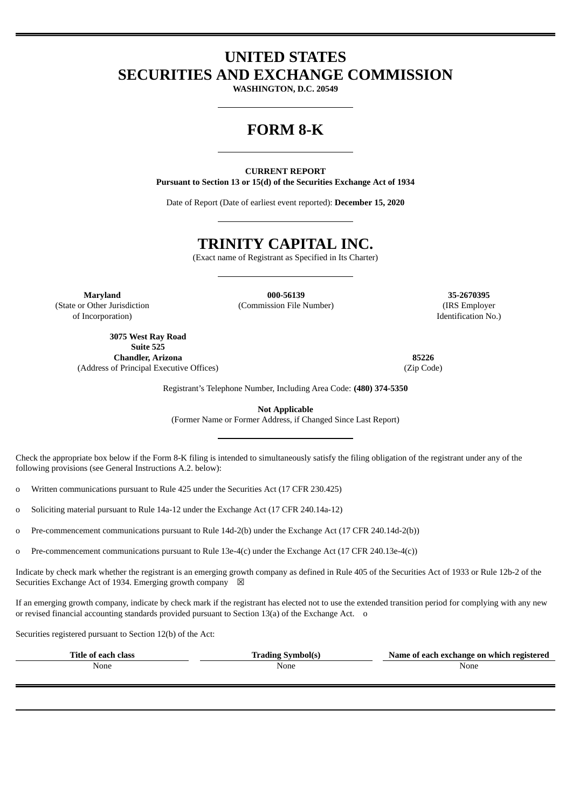# **UNITED STATES SECURITIES AND EXCHANGE COMMISSION**

**WASHINGTON, D.C. 20549**

# **FORM 8-K**

**CURRENT REPORT Pursuant to Section 13 or 15(d) of the Securities Exchange Act of 1934**

Date of Report (Date of earliest event reported): **December 15, 2020**

# **TRINITY CAPITAL INC.**

(Exact name of Registrant as Specified in Its Charter)

**Maryland 000-56139 35-2670395** (State or Other Jurisdiction of Incorporation)

(Commission File Number) (IRS Employer

**3075 West Ray Road Suite 525 Chandler, Arizona 85226** (Address of Principal Executive Offices) (Zip Code)

Identification No.)

Registrant's Telephone Number, Including Area Code: **(480) 374-5350**

**Not Applicable**

(Former Name or Former Address, if Changed Since Last Report)

Check the appropriate box below if the Form 8-K filing is intended to simultaneously satisfy the filing obligation of the registrant under any of the following provisions (see General Instructions A.2. below):

o Written communications pursuant to Rule 425 under the Securities Act (17 CFR 230.425)

o Soliciting material pursuant to Rule 14a-12 under the Exchange Act (17 CFR 240.14a-12)

o Pre-commencement communications pursuant to Rule 14d-2(b) under the Exchange Act (17 CFR 240.14d-2(b))

o Pre-commencement communications pursuant to Rule 13e-4(c) under the Exchange Act (17 CFR 240.13e-4(c))

Indicate by check mark whether the registrant is an emerging growth company as defined in Rule 405 of the Securities Act of 1933 or Rule 12b-2 of the Securities Exchange Act of 1934. Emerging growth company  $\boxtimes$ 

If an emerging growth company, indicate by check mark if the registrant has elected not to use the extended transition period for complying with any new or revised financial accounting standards provided pursuant to Section 13(a) of the Exchange Act. o

Securities registered pursuant to Section 12(b) of the Act:

| ∡ïtle<br>class<br>$\mathbf{a}$ | svmholíc<br>. | registered ،<br>Name<br>ı exchange on-<br>which<br>. .<br> |
|--------------------------------|---------------|------------------------------------------------------------|
| None                           | None<br>___   | None<br>___                                                |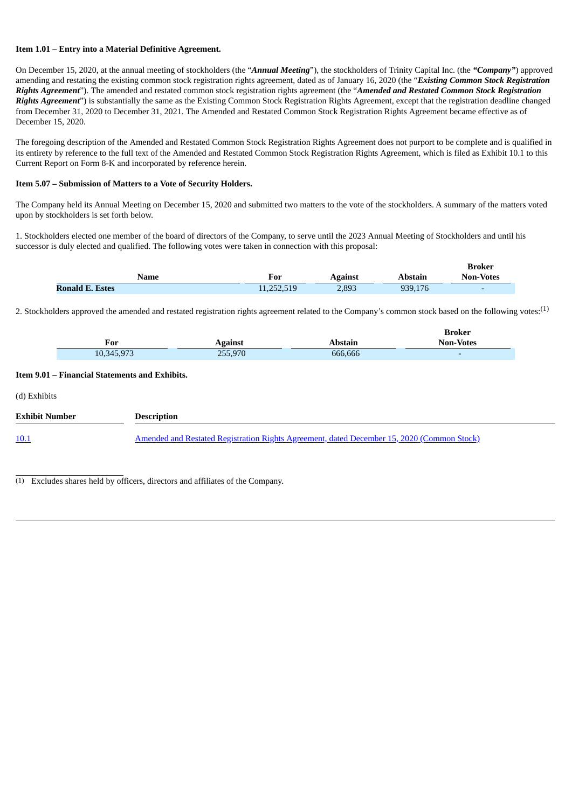#### **Item 1.01 – Entry into a Material Definitive Agreement.**

On December 15, 2020, at the annual meeting of stockholders (the "*Annual Meeting*"), the stockholders of Trinity Capital Inc. (the *"Company"*) approved amending and restating the existing common stock registration rights agreement, dated as of January 16, 2020 (the "*Existing Common Stock Registration Rights Agreement*"). The amended and restated common stock registration rights agreement (the "*Amended and Restated Common Stock Registration Rights Agreement*") is substantially the same as the Existing Common Stock Registration Rights Agreement, except that the registration deadline changed from December 31, 2020 to December 31, 2021. The Amended and Restated Common Stock Registration Rights Agreement became effective as of December 15, 2020.

The foregoing description of the Amended and Restated Common Stock Registration Rights Agreement does not purport to be complete and is qualified in its entirety by reference to the full text of the Amended and Restated Common Stock Registration Rights Agreement, which is filed as Exhibit 10.1 to this Current Report on Form 8-K and incorporated by reference herein.

#### **Item 5.07 – Submission of Matters to a Vote of Security Holders.**

The Company held its Annual Meeting on December 15, 2020 and submitted two matters to the vote of the stockholders. A summary of the matters voted upon by stockholders is set forth below.

1. Stockholders elected one member of the board of directors of the Company, to serve until the 2023 Annual Meeting of Stockholders and until his successor is duly elected and qualified. The following votes were taken in connection with this proposal:

|                        |            |         |         | <b>Broker</b>            |
|------------------------|------------|---------|---------|--------------------------|
| Name                   | For        | Against | Abstain | <b>Non-Votes</b>         |
| <b>Ronald E. Estes</b> | 11,252,519 | 2,893   | 939.176 | $\overline{\phantom{0}}$ |

2. Stockholders approved the amended and restated registration rights agreement related to the Company's common stock based on the following votes:<sup>(1)</sup>

|              |                |                | ргокег           |
|--------------|----------------|----------------|------------------|
| For<br>_____ | <b>Against</b> | <b>\bstain</b> | <b>Non-Votes</b> |
| 10,345,973   | 255,970        | 666,666        |                  |

**Broker**

#### **Item 9.01 – Financial Statements and Exhibits.**

| (d) Exhibits   |                                                                                                   |  |
|----------------|---------------------------------------------------------------------------------------------------|--|
| Exhibit Number | <b>Description</b>                                                                                |  |
| <u>10.1</u>    | <u>Amended and Restated Registration Rights Agreement, dated December 15, 2020 (Common Stock)</u> |  |

(1) Excludes shares held by officers, directors and affiliates of the Company.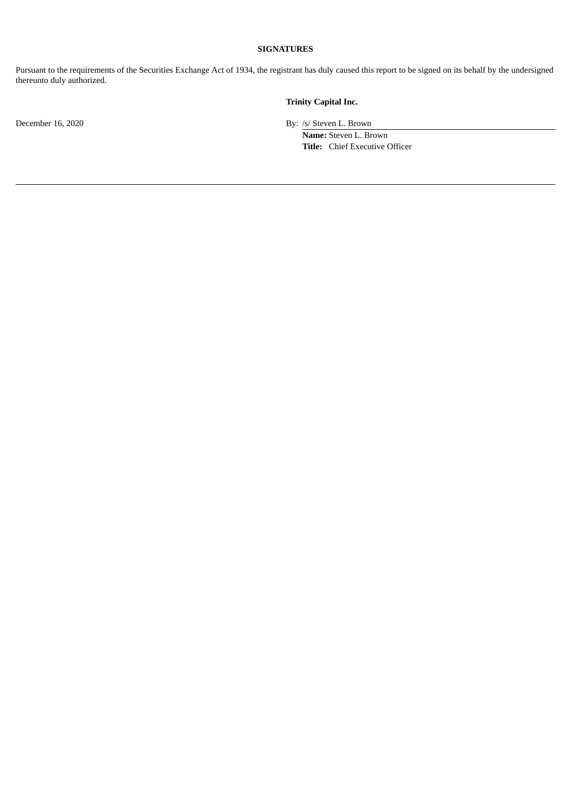### **SIGNATURES**

Pursuant to the requirements of the Securities Exchange Act of 1934, the registrant has duly caused this report to be signed on its behalf by the undersigned thereunto duly authorized.

## **Trinity Capital Inc.**

December 16, 2020 By: /s/ Steven L. Brown

**Name:** Steven L. Brown **Title:** Chief Executive Officer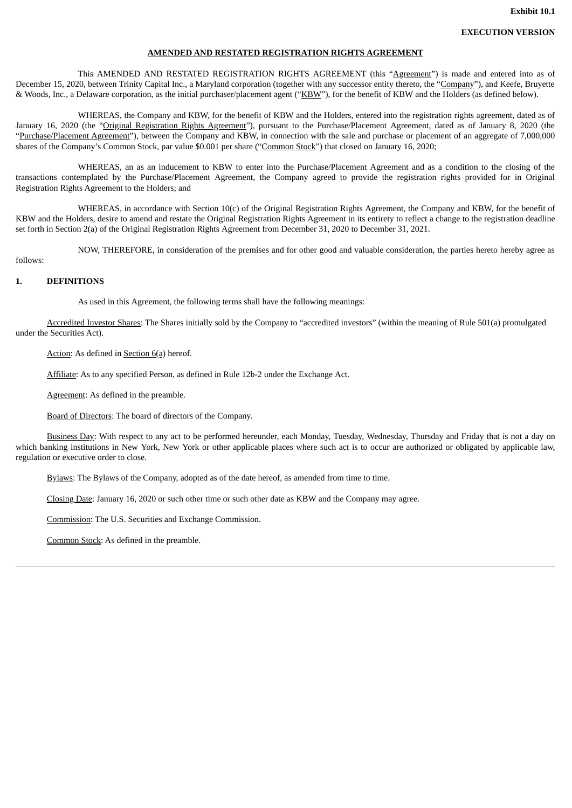#### **AMENDED AND RESTATED REGISTRATION RIGHTS AGREEMENT**

<span id="page-3-0"></span>This AMENDED AND RESTATED REGISTRATION RIGHTS AGREEMENT (this "Agreement") is made and entered into as of December 15, 2020, between Trinity Capital Inc., a Maryland corporation (together with any successor entity thereto, the "Company"), and Keefe, Bruyette & Woods, Inc., a Delaware corporation, as the initial purchaser/placement agent ("KBW"), for the benefit of KBW and the Holders (as defined below).

WHEREAS, the Company and KBW, for the benefit of KBW and the Holders, entered into the registration rights agreement, dated as of January 16, 2020 (the "Original Registration Rights Agreement"), pursuant to the Purchase/Placement Agreement, dated as of January 8, 2020 (the "Purchase/Placement Agreement"), between the Company and KBW, in connection with the sale and purchase or placement of an aggregate of 7,000,000 shares of the Company's Common Stock, par value \$0.001 per share ("Common Stock") that closed on January 16, 2020;

WHEREAS, an as an inducement to KBW to enter into the Purchase/Placement Agreement and as a condition to the closing of the transactions contemplated by the Purchase/Placement Agreement, the Company agreed to provide the registration rights provided for in Original Registration Rights Agreement to the Holders; and

WHEREAS, in accordance with Section 10(c) of the Original Registration Rights Agreement, the Company and KBW, for the benefit of KBW and the Holders, desire to amend and restate the Original Registration Rights Agreement in its entirety to reflect a change to the registration deadline set forth in Section 2(a) of the Original Registration Rights Agreement from December 31, 2020 to December 31, 2021.

NOW, THEREFORE, in consideration of the premises and for other good and valuable consideration, the parties hereto hereby agree as

#### follows:

#### **1. DEFINITIONS**

As used in this Agreement, the following terms shall have the following meanings:

Accredited Investor Shares: The Shares initially sold by the Company to "accredited investors" (within the meaning of Rule 501(a) promulgated under the Securities Act).

Action: As defined in Section 6(a) hereof.

Affiliate: As to any specified Person, as defined in Rule 12b-2 under the Exchange Act.

Agreement: As defined in the preamble.

Board of Directors: The board of directors of the Company.

Business Day: With respect to any act to be performed hereunder, each Monday, Tuesday, Wednesday, Thursday and Friday that is not a day on which banking institutions in New York, New York or other applicable places where such act is to occur are authorized or obligated by applicable law, regulation or executive order to close.

Bylaws: The Bylaws of the Company, adopted as of the date hereof, as amended from time to time.

Closing Date: January 16, 2020 or such other time or such other date as KBW and the Company may agree.

Commission: The U.S. Securities and Exchange Commission.

Common Stock: As defined in the preamble.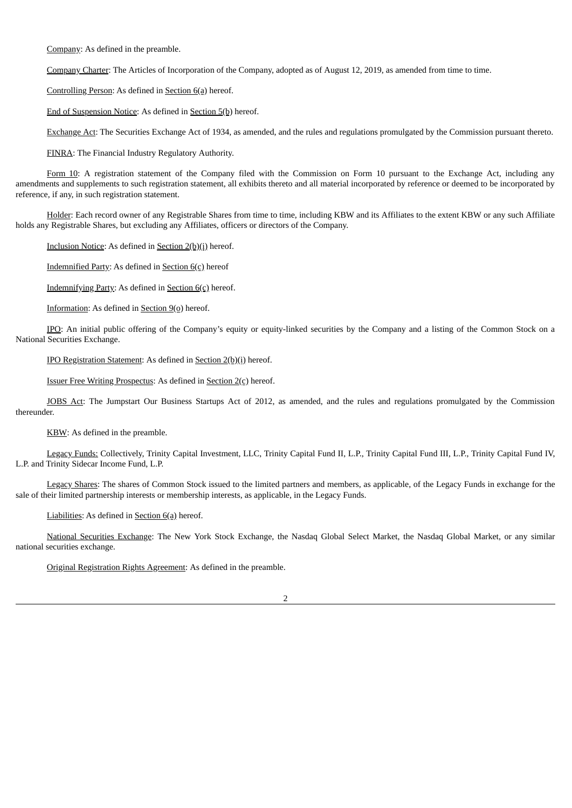Company: As defined in the preamble.

Company Charter: The Articles of Incorporation of the Company, adopted as of August 12, 2019, as amended from time to time.

Controlling Person: As defined in Section 6(a) hereof.

End of Suspension Notice: As defined in Section 5(b) hereof.

Exchange Act: The Securities Exchange Act of 1934, as amended, and the rules and regulations promulgated by the Commission pursuant thereto.

FINRA: The Financial Industry Regulatory Authority.

Form 10: A registration statement of the Company filed with the Commission on Form 10 pursuant to the Exchange Act, including any amendments and supplements to such registration statement, all exhibits thereto and all material incorporated by reference or deemed to be incorporated by reference, if any, in such registration statement.

Holder: Each record owner of any Registrable Shares from time to time, including KBW and its Affiliates to the extent KBW or any such Affiliate holds any Registrable Shares, but excluding any Affiliates, officers or directors of the Company.

Inclusion Notice: As defined in Section 2(b)(i) hereof.

Indemnified Party: As defined in Section 6(c) hereof

Indemnifying Party: As defined in Section 6(c) hereof.

Information: As defined in Section  $9(9)$  hereof.

IPO: An initial public offering of the Company's equity or equity-linked securities by the Company and a listing of the Common Stock on a National Securities Exchange.

IPO Registration Statement: As defined in Section 2(b)(i) hereof.

Issuer Free Writing Prospectus: As defined in Section 2(c) hereof.

JOBS Act: The Jumpstart Our Business Startups Act of 2012, as amended, and the rules and regulations promulgated by the Commission thereunder.

KBW: As defined in the preamble.

Legacy Funds: Collectively, Trinity Capital Investment, LLC, Trinity Capital Fund II, L.P., Trinity Capital Fund III, L.P., Trinity Capital Fund IV, L.P. and Trinity Sidecar Income Fund, L.P.

Legacy Shares: The shares of Common Stock issued to the limited partners and members, as applicable, of the Legacy Funds in exchange for the sale of their limited partnership interests or membership interests, as applicable, in the Legacy Funds.

Liabilities: As defined in Section 6(a) hereof.

National Securities Exchange: The New York Stock Exchange, the Nasdaq Global Select Market, the Nasdaq Global Market, or any similar national securities exchange.

Original Registration Rights Agreement: As defined in the preamble.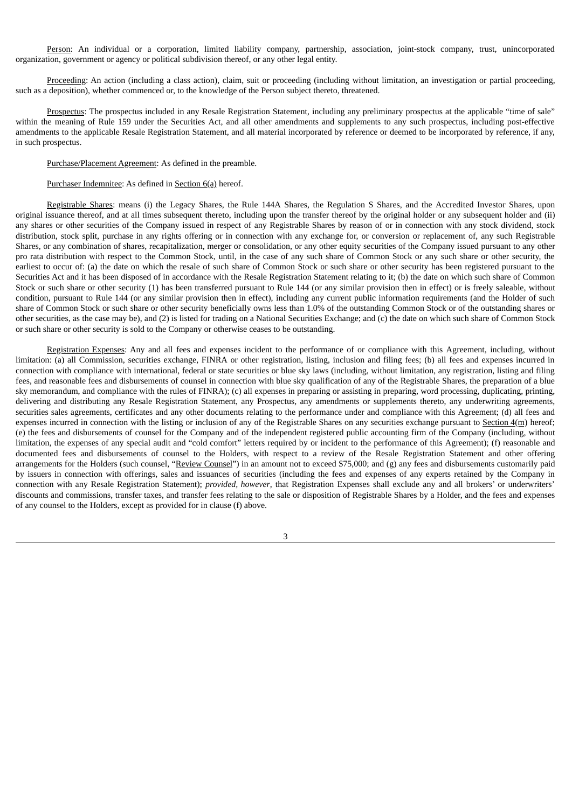Person: An individual or a corporation, limited liability company, partnership, association, joint-stock company, trust, unincorporated organization, government or agency or political subdivision thereof, or any other legal entity.

Proceeding: An action (including a class action), claim, suit or proceeding (including without limitation, an investigation or partial proceeding, such as a deposition), whether commenced or, to the knowledge of the Person subject thereto, threatened.

Prospectus: The prospectus included in any Resale Registration Statement, including any preliminary prospectus at the applicable "time of sale" within the meaning of Rule 159 under the Securities Act, and all other amendments and supplements to any such prospectus, including post-effective amendments to the applicable Resale Registration Statement, and all material incorporated by reference or deemed to be incorporated by reference, if any, in such prospectus.

#### Purchase/Placement Agreement: As defined in the preamble.

#### Purchaser Indemnitee: As defined in Section 6(a) hereof.

Registrable Shares: means (i) the Legacy Shares, the Rule 144A Shares, the Regulation S Shares, and the Accredited Investor Shares, upon original issuance thereof, and at all times subsequent thereto, including upon the transfer thereof by the original holder or any subsequent holder and (ii) any shares or other securities of the Company issued in respect of any Registrable Shares by reason of or in connection with any stock dividend, stock distribution, stock split, purchase in any rights offering or in connection with any exchange for, or conversion or replacement of, any such Registrable Shares, or any combination of shares, recapitalization, merger or consolidation, or any other equity securities of the Company issued pursuant to any other pro rata distribution with respect to the Common Stock, until, in the case of any such share of Common Stock or any such share or other security, the earliest to occur of: (a) the date on which the resale of such share of Common Stock or such share or other security has been registered pursuant to the Securities Act and it has been disposed of in accordance with the Resale Registration Statement relating to it; (b) the date on which such share of Common Stock or such share or other security (1) has been transferred pursuant to Rule 144 (or any similar provision then in effect) or is freely saleable, without condition, pursuant to Rule 144 (or any similar provision then in effect), including any current public information requirements (and the Holder of such share of Common Stock or such share or other security beneficially owns less than 1.0% of the outstanding Common Stock or of the outstanding shares or other securities, as the case may be), and (2) is listed for trading on a National Securities Exchange; and (c) the date on which such share of Common Stock or such share or other security is sold to the Company or otherwise ceases to be outstanding.

Registration Expenses: Any and all fees and expenses incident to the performance of or compliance with this Agreement, including, without limitation: (a) all Commission, securities exchange, FINRA or other registration, listing, inclusion and filing fees; (b) all fees and expenses incurred in connection with compliance with international, federal or state securities or blue sky laws (including, without limitation, any registration, listing and filing fees, and reasonable fees and disbursements of counsel in connection with blue sky qualification of any of the Registrable Shares, the preparation of a blue sky memorandum, and compliance with the rules of FINRA); (c) all expenses in preparing or assisting in preparing, word processing, duplicating, printing, delivering and distributing any Resale Registration Statement, any Prospectus, any amendments or supplements thereto, any underwriting agreements, securities sales agreements, certificates and any other documents relating to the performance under and compliance with this Agreement; (d) all fees and expenses incurred in connection with the listing or inclusion of any of the Registrable Shares on any securities exchange pursuant to  $Section 4(m)$  hereof; (e) the fees and disbursements of counsel for the Company and of the independent registered public accounting firm of the Company (including, without limitation, the expenses of any special audit and "cold comfort" letters required by or incident to the performance of this Agreement); (f) reasonable and documented fees and disbursements of counsel to the Holders, with respect to a review of the Resale Registration Statement and other offering arrangements for the Holders (such counsel, "Review Counsel") in an amount not to exceed \$75,000; and (g) any fees and disbursements customarily paid by issuers in connection with offerings, sales and issuances of securities (including the fees and expenses of any experts retained by the Company in connection with any Resale Registration Statement); *provided, however*, that Registration Expenses shall exclude any and all brokers' or underwriters' discounts and commissions, transfer taxes, and transfer fees relating to the sale or disposition of Registrable Shares by a Holder, and the fees and expenses of any counsel to the Holders, except as provided for in clause (f) above.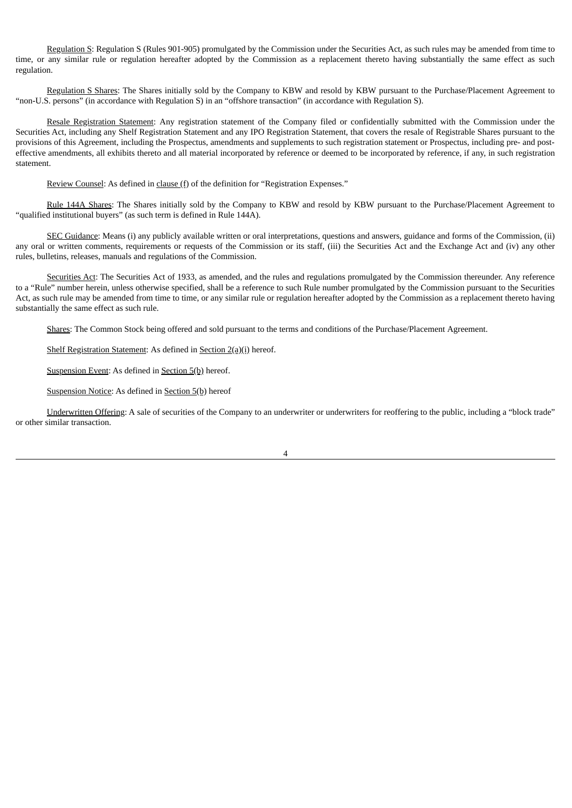Regulation S: Regulation S (Rules 901-905) promulgated by the Commission under the Securities Act, as such rules may be amended from time to time, or any similar rule or regulation hereafter adopted by the Commission as a replacement thereto having substantially the same effect as such regulation.

Regulation S Shares: The Shares initially sold by the Company to KBW and resold by KBW pursuant to the Purchase/Placement Agreement to "non-U.S. persons" (in accordance with Regulation S) in an "offshore transaction" (in accordance with Regulation S).

Resale Registration Statement: Any registration statement of the Company filed or confidentially submitted with the Commission under the Securities Act, including any Shelf Registration Statement and any IPO Registration Statement, that covers the resale of Registrable Shares pursuant to the provisions of this Agreement, including the Prospectus, amendments and supplements to such registration statement or Prospectus, including pre- and posteffective amendments, all exhibits thereto and all material incorporated by reference or deemed to be incorporated by reference, if any, in such registration statement.

Review Counsel: As defined in clause (f) of the definition for "Registration Expenses."

Rule 144A Shares: The Shares initially sold by the Company to KBW and resold by KBW pursuant to the Purchase/Placement Agreement to "qualified institutional buyers" (as such term is defined in Rule 144A).

SEC Guidance: Means (i) any publicly available written or oral interpretations, questions and answers, guidance and forms of the Commission, (ii) any oral or written comments, requirements or requests of the Commission or its staff, (iii) the Securities Act and the Exchange Act and (iv) any other rules, bulletins, releases, manuals and regulations of the Commission.

Securities Act: The Securities Act of 1933, as amended, and the rules and regulations promulgated by the Commission thereunder. Any reference to a "Rule" number herein, unless otherwise specified, shall be a reference to such Rule number promulgated by the Commission pursuant to the Securities Act, as such rule may be amended from time to time, or any similar rule or regulation hereafter adopted by the Commission as a replacement thereto having substantially the same effect as such rule.

Shares: The Common Stock being offered and sold pursuant to the terms and conditions of the Purchase/Placement Agreement.

Shelf Registration Statement: As defined in Section 2(a)(i) hereof.

Suspension Event: As defined in Section 5(b) hereof.

Suspension Notice: As defined in Section 5(b) hereof

Underwritten Offering: A sale of securities of the Company to an underwriter or underwriters for reoffering to the public, including a "block trade" or other similar transaction.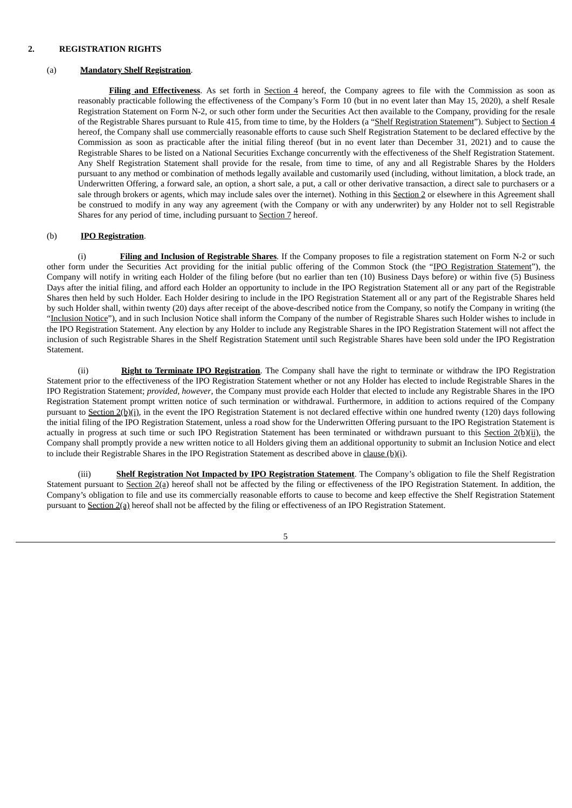#### **2. REGISTRATION RIGHTS**

#### (a) **Mandatory Shelf Registration**.

**Filing and Effectiveness**. As set forth in Section 4 hereof, the Company agrees to file with the Commission as soon as reasonably practicable following the effectiveness of the Company's Form 10 (but in no event later than May 15, 2020), a shelf Resale Registration Statement on Form N-2, or such other form under the Securities Act then available to the Company, providing for the resale of the Registrable Shares pursuant to Rule 415, from time to time, by the Holders (a "Shelf Registration Statement"). Subject to Section 4 hereof, the Company shall use commercially reasonable efforts to cause such Shelf Registration Statement to be declared effective by the Commission as soon as practicable after the initial filing thereof (but in no event later than December 31, 2021) and to cause the Registrable Shares to be listed on a National Securities Exchange concurrently with the effectiveness of the Shelf Registration Statement. Any Shelf Registration Statement shall provide for the resale, from time to time, of any and all Registrable Shares by the Holders pursuant to any method or combination of methods legally available and customarily used (including, without limitation, a block trade, an Underwritten Offering, a forward sale, an option, a short sale, a put, a call or other derivative transaction, a direct sale to purchasers or a sale through brokers or agents, which may include sales over the internet). Nothing in this Section 2 or elsewhere in this Agreement shall be construed to modify in any way any agreement (with the Company or with any underwriter) by any Holder not to sell Registrable Shares for any period of time, including pursuant to **Section 7** hereof.

#### (b) **IPO Registration**.

(i) **Filing and Inclusion of Registrable Shares**. If the Company proposes to file a registration statement on Form N-2 or such other form under the Securities Act providing for the initial public offering of the Common Stock (the "IPO Registration Statement"), the Company will notify in writing each Holder of the filing before (but no earlier than ten (10) Business Days before) or within five (5) Business Days after the initial filing, and afford each Holder an opportunity to include in the IPO Registration Statement all or any part of the Registrable Shares then held by such Holder. Each Holder desiring to include in the IPO Registration Statement all or any part of the Registrable Shares held by such Holder shall, within twenty (20) days after receipt of the above-described notice from the Company, so notify the Company in writing (the "Inclusion Notice"), and in such Inclusion Notice shall inform the Company of the number of Registrable Shares such Holder wishes to include in the IPO Registration Statement. Any election by any Holder to include any Registrable Shares in the IPO Registration Statement will not affect the inclusion of such Registrable Shares in the Shelf Registration Statement until such Registrable Shares have been sold under the IPO Registration Statement.

(ii) **Right to Terminate IPO Registration**. The Company shall have the right to terminate or withdraw the IPO Registration Statement prior to the effectiveness of the IPO Registration Statement whether or not any Holder has elected to include Registrable Shares in the IPO Registration Statement; *provided, however*, the Company must provide each Holder that elected to include any Registrable Shares in the IPO Registration Statement prompt written notice of such termination or withdrawal. Furthermore, in addition to actions required of the Company pursuant to Section 2(b)(i), in the event the IPO Registration Statement is not declared effective within one hundred twenty (120) days following the initial filing of the IPO Registration Statement, unless a road show for the Underwritten Offering pursuant to the IPO Registration Statement is actually in progress at such time or such IPO Registration Statement has been terminated or withdrawn pursuant to this Section  $2(b)(ii)$ , the Company shall promptly provide a new written notice to all Holders giving them an additional opportunity to submit an Inclusion Notice and elect to include their Registrable Shares in the IPO Registration Statement as described above in clause  $(b)(i)$ .

(iii) **Shelf Registration Not Impacted by IPO Registration Statement**. The Company's obligation to file the Shelf Registration Statement pursuant to Section 2(a) hereof shall not be affected by the filing or effectiveness of the IPO Registration Statement. In addition, the Company's obligation to file and use its commercially reasonable efforts to cause to become and keep effective the Shelf Registration Statement pursuant to Section 2(a) hereof shall not be affected by the filing or effectiveness of an IPO Registration Statement.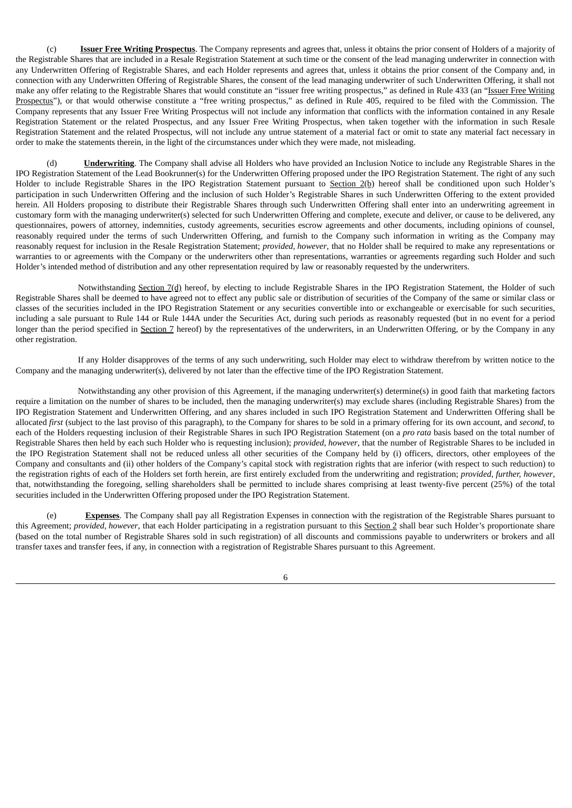(c) **Issuer Free Writing Prospectus**. The Company represents and agrees that, unless it obtains the prior consent of Holders of a majority of the Registrable Shares that are included in a Resale Registration Statement at such time or the consent of the lead managing underwriter in connection with any Underwritten Offering of Registrable Shares, and each Holder represents and agrees that, unless it obtains the prior consent of the Company and, in connection with any Underwritten Offering of Registrable Shares, the consent of the lead managing underwriter of such Underwritten Offering, it shall not make any offer relating to the Registrable Shares that would constitute an "issuer free writing prospectus," as defined in Rule 433 (an "Issuer Free Writing Prospectus"), or that would otherwise constitute a "free writing prospectus," as defined in Rule 405, required to be filed with the Commission. The Company represents that any Issuer Free Writing Prospectus will not include any information that conflicts with the information contained in any Resale Registration Statement or the related Prospectus, and any Issuer Free Writing Prospectus, when taken together with the information in such Resale Registration Statement and the related Prospectus, will not include any untrue statement of a material fact or omit to state any material fact necessary in order to make the statements therein, in the light of the circumstances under which they were made, not misleading.

(d) **Underwriting**. The Company shall advise all Holders who have provided an Inclusion Notice to include any Registrable Shares in the IPO Registration Statement of the Lead Bookrunner(s) for the Underwritten Offering proposed under the IPO Registration Statement. The right of any such Holder to include Registrable Shares in the IPO Registration Statement pursuant to Section 2(b) hereof shall be conditioned upon such Holder's participation in such Underwritten Offering and the inclusion of such Holder's Registrable Shares in such Underwritten Offering to the extent provided herein. All Holders proposing to distribute their Registrable Shares through such Underwritten Offering shall enter into an underwriting agreement in customary form with the managing underwriter(s) selected for such Underwritten Offering and complete, execute and deliver, or cause to be delivered, any questionnaires, powers of attorney, indemnities, custody agreements, securities escrow agreements and other documents, including opinions of counsel, reasonably required under the terms of such Underwritten Offering, and furnish to the Company such information in writing as the Company may reasonably request for inclusion in the Resale Registration Statement; *provided, however*, that no Holder shall be required to make any representations or warranties to or agreements with the Company or the underwriters other than representations, warranties or agreements regarding such Holder and such Holder's intended method of distribution and any other representation required by law or reasonably requested by the underwriters.

Notwithstanding Section 7(d) hereof, by electing to include Registrable Shares in the IPO Registration Statement, the Holder of such Registrable Shares shall be deemed to have agreed not to effect any public sale or distribution of securities of the Company of the same or similar class or classes of the securities included in the IPO Registration Statement or any securities convertible into or exchangeable or exercisable for such securities, including a sale pursuant to Rule 144 or Rule 144A under the Securities Act, during such periods as reasonably requested (but in no event for a period longer than the period specified in Section 7 hereof) by the representatives of the underwriters, in an Underwritten Offering, or by the Company in any other registration.

If any Holder disapproves of the terms of any such underwriting, such Holder may elect to withdraw therefrom by written notice to the Company and the managing underwriter(s), delivered by not later than the effective time of the IPO Registration Statement.

Notwithstanding any other provision of this Agreement, if the managing underwriter(s) determine(s) in good faith that marketing factors require a limitation on the number of shares to be included, then the managing underwriter(s) may exclude shares (including Registrable Shares) from the IPO Registration Statement and Underwritten Offering, and any shares included in such IPO Registration Statement and Underwritten Offering shall be allocated *first* (subject to the last proviso of this paragraph), to the Company for shares to be sold in a primary offering for its own account, and *second*, to each of the Holders requesting inclusion of their Registrable Shares in such IPO Registration Statement (on a *pro rata* basis based on the total number of Registrable Shares then held by each such Holder who is requesting inclusion); *provided, however*, that the number of Registrable Shares to be included in the IPO Registration Statement shall not be reduced unless all other securities of the Company held by (i) officers, directors, other employees of the Company and consultants and (ii) other holders of the Company's capital stock with registration rights that are inferior (with respect to such reduction) to the registration rights of each of the Holders set forth herein, are first entirely excluded from the underwriting and registration; *provided, further, however*, that, notwithstanding the foregoing, selling shareholders shall be permitted to include shares comprising at least twenty-five percent (25%) of the total securities included in the Underwritten Offering proposed under the IPO Registration Statement.

(e) **Expenses**. The Company shall pay all Registration Expenses in connection with the registration of the Registrable Shares pursuant to this Agreement; *provided, however*, that each Holder participating in a registration pursuant to this Section 2 shall bear such Holder's proportionate share (based on the total number of Registrable Shares sold in such registration) of all discounts and commissions payable to underwriters or brokers and all transfer taxes and transfer fees, if any, in connection with a registration of Registrable Shares pursuant to this Agreement.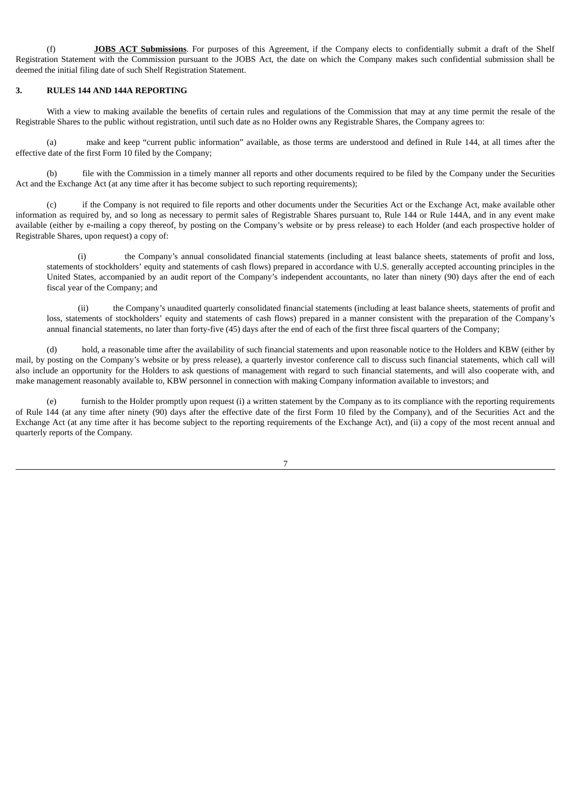(f) **JOBS ACT Submissions**. For purposes of this Agreement, if the Company elects to confidentially submit a draft of the Shelf Registration Statement with the Commission pursuant to the JOBS Act, the date on which the Company makes such confidential submission shall be deemed the initial filing date of such Shelf Registration Statement.

#### **3. RULES 144 AND 144A REPORTING**

With a view to making available the benefits of certain rules and regulations of the Commission that may at any time permit the resale of the Registrable Shares to the public without registration, until such date as no Holder owns any Registrable Shares, the Company agrees to:

(a) make and keep "current public information" available, as those terms are understood and defined in Rule 144, at all times after the effective date of the first Form 10 filed by the Company;

(b) file with the Commission in a timely manner all reports and other documents required to be filed by the Company under the Securities Act and the Exchange Act (at any time after it has become subject to such reporting requirements);

(c) if the Company is not required to file reports and other documents under the Securities Act or the Exchange Act, make available other information as required by, and so long as necessary to permit sales of Registrable Shares pursuant to, Rule 144 or Rule 144A, and in any event make available (either by e-mailing a copy thereof, by posting on the Company's website or by press release) to each Holder (and each prospective holder of Registrable Shares, upon request) a copy of:

(i) the Company's annual consolidated financial statements (including at least balance sheets, statements of profit and loss, statements of stockholders' equity and statements of cash flows) prepared in accordance with U.S. generally accepted accounting principles in the United States, accompanied by an audit report of the Company's independent accountants, no later than ninety (90) days after the end of each fiscal year of the Company; and

(ii) the Company's unaudited quarterly consolidated financial statements (including at least balance sheets, statements of profit and loss, statements of stockholders' equity and statements of cash flows) prepared in a manner consistent with the preparation of the Company's annual financial statements, no later than forty-five (45) days after the end of each of the first three fiscal quarters of the Company;

(d) hold, a reasonable time after the availability of such financial statements and upon reasonable notice to the Holders and KBW (either by mail, by posting on the Company's website or by press release), a quarterly investor conference call to discuss such financial statements, which call will also include an opportunity for the Holders to ask questions of management with regard to such financial statements, and will also cooperate with, and make management reasonably available to, KBW personnel in connection with making Company information available to investors; and

(e) furnish to the Holder promptly upon request (i) a written statement by the Company as to its compliance with the reporting requirements of Rule 144 (at any time after ninety (90) days after the effective date of the first Form 10 filed by the Company), and of the Securities Act and the Exchange Act (at any time after it has become subject to the reporting requirements of the Exchange Act), and (ii) a copy of the most recent annual and quarterly reports of the Company.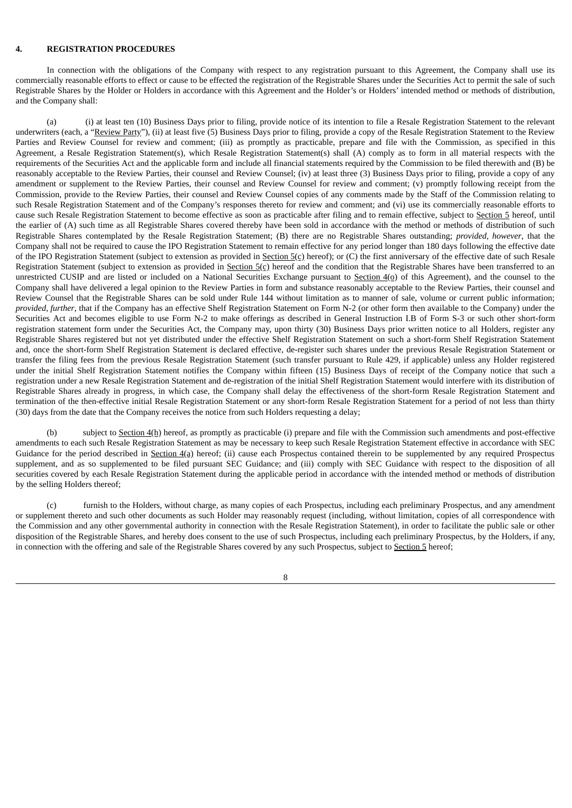#### **4. REGISTRATION PROCEDURES**

In connection with the obligations of the Company with respect to any registration pursuant to this Agreement, the Company shall use its commercially reasonable efforts to effect or cause to be effected the registration of the Registrable Shares under the Securities Act to permit the sale of such Registrable Shares by the Holder or Holders in accordance with this Agreement and the Holder's or Holders' intended method or methods of distribution, and the Company shall:

(a) (i) at least ten (10) Business Days prior to filing, provide notice of its intention to file a Resale Registration Statement to the relevant underwriters (each, a "Review Party"), (ii) at least five (5) Business Days prior to filing, provide a copy of the Resale Registration Statement to the Review Parties and Review Counsel for review and comment; (iii) as promptly as practicable, prepare and file with the Commission, as specified in this Agreement, a Resale Registration Statement(s), which Resale Registration Statement(s) shall (A) comply as to form in all material respects with the requirements of the Securities Act and the applicable form and include all financial statements required by the Commission to be filed therewith and (B) be reasonably acceptable to the Review Parties, their counsel and Review Counsel; (iv) at least three (3) Business Days prior to filing, provide a copy of any amendment or supplement to the Review Parties, their counsel and Review Counsel for review and comment; (v) promptly following receipt from the Commission, provide to the Review Parties, their counsel and Review Counsel copies of any comments made by the Staff of the Commission relating to such Resale Registration Statement and of the Company's responses thereto for review and comment; and (vi) use its commercially reasonable efforts to cause such Resale Registration Statement to become effective as soon as practicable after filing and to remain effective, subject to Section 5 hereof, until the earlier of (A) such time as all Registrable Shares covered thereby have been sold in accordance with the method or methods of distribution of such Registrable Shares contemplated by the Resale Registration Statement; (B) there are no Registrable Shares outstanding; *provided, however*, that the Company shall not be required to cause the IPO Registration Statement to remain effective for any period longer than 180 days following the effective date of the IPO Registration Statement (subject to extension as provided in Section  $5($ c) hereof); or (C) the first anniversary of the effective date of such Resale Registration Statement (subject to extension as provided in Section  $5(\text{c})$  hereof and the condition that the Registrable Shares have been transferred to an unrestricted CUSIP and are listed or included on a National Securities Exchange pursuant to Section  $4(\rho)$  of this Agreement), and the counsel to the Company shall have delivered a legal opinion to the Review Parties in form and substance reasonably acceptable to the Review Parties, their counsel and Review Counsel that the Registrable Shares can be sold under Rule 144 without limitation as to manner of sale, volume or current public information; *provided, further*, that if the Company has an effective Shelf Registration Statement on Form N-2 (or other form then available to the Company) under the Securities Act and becomes eligible to use Form N-2 to make offerings as described in General Instruction I.B of Form S-3 or such other short-form registration statement form under the Securities Act, the Company may, upon thirty (30) Business Days prior written notice to all Holders, register any Registrable Shares registered but not yet distributed under the effective Shelf Registration Statement on such a short-form Shelf Registration Statement and, once the short-form Shelf Registration Statement is declared effective, de-register such shares under the previous Resale Registration Statement or transfer the filing fees from the previous Resale Registration Statement (such transfer pursuant to Rule 429, if applicable) unless any Holder registered under the initial Shelf Registration Statement notifies the Company within fifteen (15) Business Days of receipt of the Company notice that such a registration under a new Resale Registration Statement and de-registration of the initial Shelf Registration Statement would interfere with its distribution of Registrable Shares already in progress, in which case, the Company shall delay the effectiveness of the short-form Resale Registration Statement and termination of the then-effective initial Resale Registration Statement or any short-form Resale Registration Statement for a period of not less than thirty (30) days from the date that the Company receives the notice from such Holders requesting a delay;

(b) subject to Section 4(h) hereof, as promptly as practicable (i) prepare and file with the Commission such amendments and post-effective amendments to each such Resale Registration Statement as may be necessary to keep such Resale Registration Statement effective in accordance with SEC Guidance for the period described in Section 4(a) hereof; (ii) cause each Prospectus contained therein to be supplemented by any required Prospectus supplement, and as so supplemented to be filed pursuant SEC Guidance; and (iii) comply with SEC Guidance with respect to the disposition of all securities covered by each Resale Registration Statement during the applicable period in accordance with the intended method or methods of distribution by the selling Holders thereof;

(c) furnish to the Holders, without charge, as many copies of each Prospectus, including each preliminary Prospectus, and any amendment or supplement thereto and such other documents as such Holder may reasonably request (including, without limitation, copies of all correspondence with the Commission and any other governmental authority in connection with the Resale Registration Statement), in order to facilitate the public sale or other disposition of the Registrable Shares, and hereby does consent to the use of such Prospectus, including each preliminary Prospectus, by the Holders, if any, in connection with the offering and sale of the Registrable Shares covered by any such Prospectus, subject to Section 5 hereof;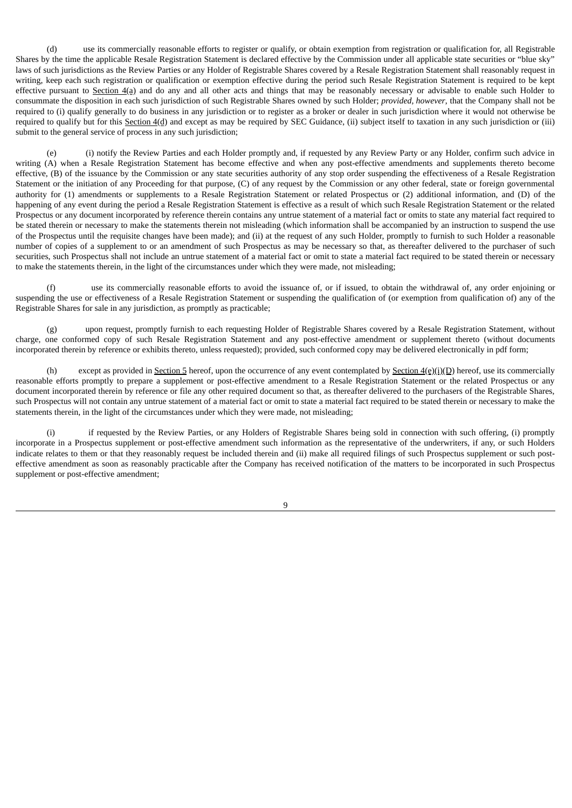(d) use its commercially reasonable efforts to register or qualify, or obtain exemption from registration or qualification for, all Registrable Shares by the time the applicable Resale Registration Statement is declared effective by the Commission under all applicable state securities or "blue sky" laws of such jurisdictions as the Review Parties or any Holder of Registrable Shares covered by a Resale Registration Statement shall reasonably request in writing, keep each such registration or qualification or exemption effective during the period such Resale Registration Statement is required to be kept effective pursuant to Section  $4(a)$  and do any and all other acts and things that may be reasonably necessary or advisable to enable such Holder to consummate the disposition in each such jurisdiction of such Registrable Shares owned by such Holder; *provided, however*, that the Company shall not be required to (i) qualify generally to do business in any jurisdiction or to register as a broker or dealer in such jurisdiction where it would not otherwise be required to qualify but for this Section  $4(d)$  and except as may be required by SEC Guidance, (ii) subject itself to taxation in any such jurisdiction or (iii) submit to the general service of process in any such jurisdiction;

(e) (i) notify the Review Parties and each Holder promptly and, if requested by any Review Party or any Holder, confirm such advice in writing (A) when a Resale Registration Statement has become effective and when any post-effective amendments and supplements thereto become effective, (B) of the issuance by the Commission or any state securities authority of any stop order suspending the effectiveness of a Resale Registration Statement or the initiation of any Proceeding for that purpose, (C) of any request by the Commission or any other federal, state or foreign governmental authority for (1) amendments or supplements to a Resale Registration Statement or related Prospectus or (2) additional information, and (D) of the happening of any event during the period a Resale Registration Statement is effective as a result of which such Resale Registration Statement or the related Prospectus or any document incorporated by reference therein contains any untrue statement of a material fact or omits to state any material fact required to be stated therein or necessary to make the statements therein not misleading (which information shall be accompanied by an instruction to suspend the use of the Prospectus until the requisite changes have been made); and (ii) at the request of any such Holder, promptly to furnish to such Holder a reasonable number of copies of a supplement to or an amendment of such Prospectus as may be necessary so that, as thereafter delivered to the purchaser of such securities, such Prospectus shall not include an untrue statement of a material fact or omit to state a material fact required to be stated therein or necessary to make the statements therein, in the light of the circumstances under which they were made, not misleading;

(f) use its commercially reasonable efforts to avoid the issuance of, or if issued, to obtain the withdrawal of, any order enjoining or suspending the use or effectiveness of a Resale Registration Statement or suspending the qualification of (or exemption from qualification of) any of the Registrable Shares for sale in any jurisdiction, as promptly as practicable;

(g) upon request, promptly furnish to each requesting Holder of Registrable Shares covered by a Resale Registration Statement, without charge, one conformed copy of such Resale Registration Statement and any post-effective amendment or supplement thereto (without documents incorporated therein by reference or exhibits thereto, unless requested); provided, such conformed copy may be delivered electronically in pdf form;

(h) except as provided in Section 5 hereof, upon the occurrence of any event contemplated by Section  $4(\mathbf{e})(i)(\mathbf{D})$  hereof, use its commercially reasonable efforts promptly to prepare a supplement or post-effective amendment to a Resale Registration Statement or the related Prospectus or any document incorporated therein by reference or file any other required document so that, as thereafter delivered to the purchasers of the Registrable Shares, such Prospectus will not contain any untrue statement of a material fact or omit to state a material fact required to be stated therein or necessary to make the statements therein, in the light of the circumstances under which they were made, not misleading;

(i) if requested by the Review Parties, or any Holders of Registrable Shares being sold in connection with such offering, (i) promptly incorporate in a Prospectus supplement or post-effective amendment such information as the representative of the underwriters, if any, or such Holders indicate relates to them or that they reasonably request be included therein and (ii) make all required filings of such Prospectus supplement or such posteffective amendment as soon as reasonably practicable after the Company has received notification of the matters to be incorporated in such Prospectus supplement or post-effective amendment;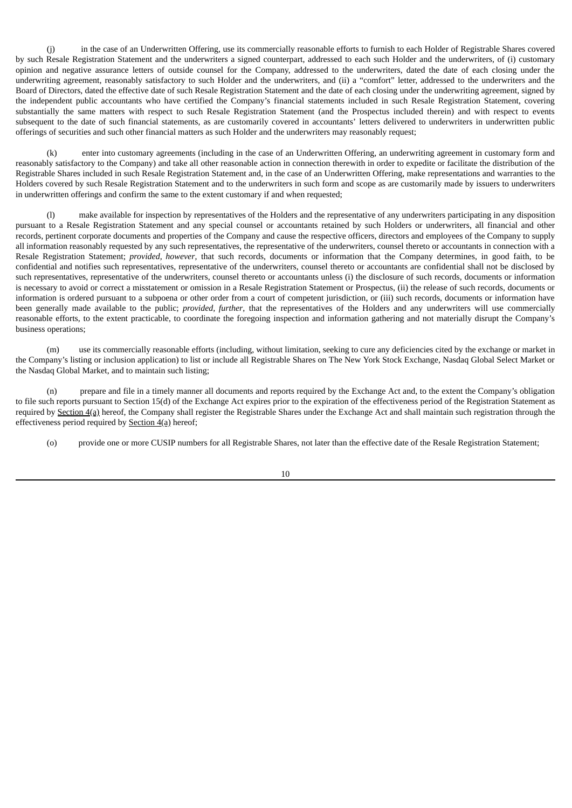(j) in the case of an Underwritten Offering, use its commercially reasonable efforts to furnish to each Holder of Registrable Shares covered by such Resale Registration Statement and the underwriters a signed counterpart, addressed to each such Holder and the underwriters, of (i) customary opinion and negative assurance letters of outside counsel for the Company, addressed to the underwriters, dated the date of each closing under the underwriting agreement, reasonably satisfactory to such Holder and the underwriters, and (ii) a "comfort" letter, addressed to the underwriters and the Board of Directors, dated the effective date of such Resale Registration Statement and the date of each closing under the underwriting agreement, signed by the independent public accountants who have certified the Company's financial statements included in such Resale Registration Statement, covering substantially the same matters with respect to such Resale Registration Statement (and the Prospectus included therein) and with respect to events subsequent to the date of such financial statements, as are customarily covered in accountants' letters delivered to underwriters in underwritten public offerings of securities and such other financial matters as such Holder and the underwriters may reasonably request;

(k) enter into customary agreements (including in the case of an Underwritten Offering, an underwriting agreement in customary form and reasonably satisfactory to the Company) and take all other reasonable action in connection therewith in order to expedite or facilitate the distribution of the Registrable Shares included in such Resale Registration Statement and, in the case of an Underwritten Offering, make representations and warranties to the Holders covered by such Resale Registration Statement and to the underwriters in such form and scope as are customarily made by issuers to underwriters in underwritten offerings and confirm the same to the extent customary if and when requested;

(l) make available for inspection by representatives of the Holders and the representative of any underwriters participating in any disposition pursuant to a Resale Registration Statement and any special counsel or accountants retained by such Holders or underwriters, all financial and other records, pertinent corporate documents and properties of the Company and cause the respective officers, directors and employees of the Company to supply all information reasonably requested by any such representatives, the representative of the underwriters, counsel thereto or accountants in connection with a Resale Registration Statement; *provided, however*, that such records, documents or information that the Company determines, in good faith, to be confidential and notifies such representatives, representative of the underwriters, counsel thereto or accountants are confidential shall not be disclosed by such representatives, representative of the underwriters, counsel thereto or accountants unless (i) the disclosure of such records, documents or information is necessary to avoid or correct a misstatement or omission in a Resale Registration Statement or Prospectus, (ii) the release of such records, documents or information is ordered pursuant to a subpoena or other order from a court of competent jurisdiction, or (iii) such records, documents or information have been generally made available to the public; *provided, further*, that the representatives of the Holders and any underwriters will use commercially reasonable efforts, to the extent practicable, to coordinate the foregoing inspection and information gathering and not materially disrupt the Company's business operations;

(m) use its commercially reasonable efforts (including, without limitation, seeking to cure any deficiencies cited by the exchange or market in the Company's listing or inclusion application) to list or include all Registrable Shares on The New York Stock Exchange, Nasdaq Global Select Market or the Nasdaq Global Market, and to maintain such listing;

(n) prepare and file in a timely manner all documents and reports required by the Exchange Act and, to the extent the Company's obligation to file such reports pursuant to Section 15(d) of the Exchange Act expires prior to the expiration of the effectiveness period of the Registration Statement as required by Section  $4(a)$  hereof, the Company shall register the Registrable Shares under the Exchange Act and shall maintain such registration through the effectiveness period required by Section 4(a) hereof;

(o) provide one or more CUSIP numbers for all Registrable Shares, not later than the effective date of the Resale Registration Statement;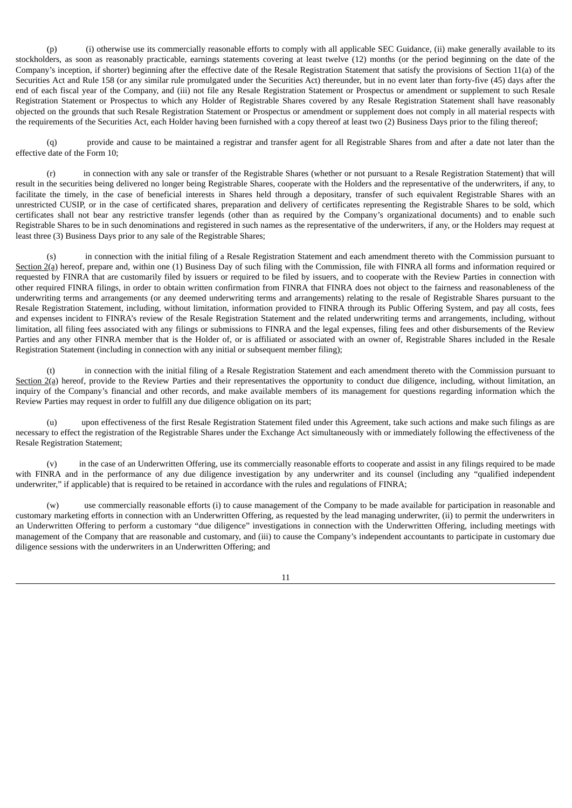(p) (i) otherwise use its commercially reasonable efforts to comply with all applicable SEC Guidance, (ii) make generally available to its stockholders, as soon as reasonably practicable, earnings statements covering at least twelve (12) months (or the period beginning on the date of the Company's inception, if shorter) beginning after the effective date of the Resale Registration Statement that satisfy the provisions of Section 11(a) of the Securities Act and Rule 158 (or any similar rule promulgated under the Securities Act) thereunder, but in no event later than forty-five (45) days after the end of each fiscal year of the Company, and (iii) not file any Resale Registration Statement or Prospectus or amendment or supplement to such Resale Registration Statement or Prospectus to which any Holder of Registrable Shares covered by any Resale Registration Statement shall have reasonably objected on the grounds that such Resale Registration Statement or Prospectus or amendment or supplement does not comply in all material respects with the requirements of the Securities Act, each Holder having been furnished with a copy thereof at least two (2) Business Days prior to the filing thereof;

(q) provide and cause to be maintained a registrar and transfer agent for all Registrable Shares from and after a date not later than the effective date of the Form 10;

(r) in connection with any sale or transfer of the Registrable Shares (whether or not pursuant to a Resale Registration Statement) that will result in the securities being delivered no longer being Registrable Shares, cooperate with the Holders and the representative of the underwriters, if any, to facilitate the timely, in the case of beneficial interests in Shares held through a depositary, transfer of such equivalent Registrable Shares with an unrestricted CUSIP, or in the case of certificated shares, preparation and delivery of certificates representing the Registrable Shares to be sold, which certificates shall not bear any restrictive transfer legends (other than as required by the Company's organizational documents) and to enable such Registrable Shares to be in such denominations and registered in such names as the representative of the underwriters, if any, or the Holders may request at least three (3) Business Days prior to any sale of the Registrable Shares;

(s) in connection with the initial filing of a Resale Registration Statement and each amendment thereto with the Commission pursuant to Section 2(a) hereof, prepare and, within one (1) Business Day of such filing with the Commission, file with FINRA all forms and information required or requested by FINRA that are customarily filed by issuers or required to be filed by issuers, and to cooperate with the Review Parties in connection with other required FINRA filings, in order to obtain written confirmation from FINRA that FINRA does not object to the fairness and reasonableness of the underwriting terms and arrangements (or any deemed underwriting terms and arrangements) relating to the resale of Registrable Shares pursuant to the Resale Registration Statement, including, without limitation, information provided to FINRA through its Public Offering System, and pay all costs, fees and expenses incident to FINRA's review of the Resale Registration Statement and the related underwriting terms and arrangements, including, without limitation, all filing fees associated with any filings or submissions to FINRA and the legal expenses, filing fees and other disbursements of the Review Parties and any other FINRA member that is the Holder of, or is affiliated or associated with an owner of, Registrable Shares included in the Resale Registration Statement (including in connection with any initial or subsequent member filing);

(t) in connection with the initial filing of a Resale Registration Statement and each amendment thereto with the Commission pursuant to Section  $2(a)$  hereof, provide to the Review Parties and their representatives the opportunity to conduct due diligence, including, without limitation, an inquiry of the Company's financial and other records, and make available members of its management for questions regarding information which the Review Parties may request in order to fulfill any due diligence obligation on its part;

upon effectiveness of the first Resale Registration Statement filed under this Agreement, take such actions and make such filings as are necessary to effect the registration of the Registrable Shares under the Exchange Act simultaneously with or immediately following the effectiveness of the Resale Registration Statement;

(v) in the case of an Underwritten Offering, use its commercially reasonable efforts to cooperate and assist in any filings required to be made with FINRA and in the performance of any due diligence investigation by any underwriter and its counsel (including any "qualified independent underwriter," if applicable) that is required to be retained in accordance with the rules and regulations of FINRA;

(w) use commercially reasonable efforts (i) to cause management of the Company to be made available for participation in reasonable and customary marketing efforts in connection with an Underwritten Offering, as requested by the lead managing underwriter, (ii) to permit the underwriters in an Underwritten Offering to perform a customary "due diligence" investigations in connection with the Underwritten Offering, including meetings with management of the Company that are reasonable and customary, and (iii) to cause the Company's independent accountants to participate in customary due diligence sessions with the underwriters in an Underwritten Offering; and

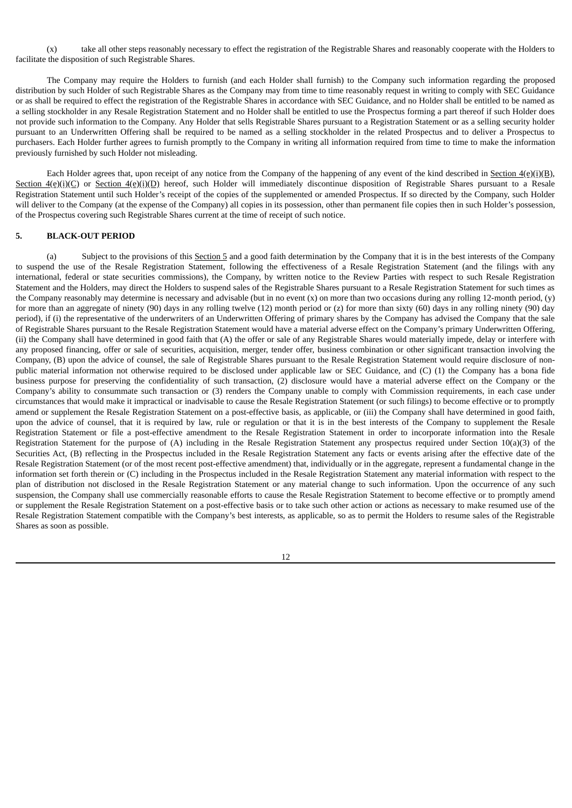(x) take all other steps reasonably necessary to effect the registration of the Registrable Shares and reasonably cooperate with the Holders to facilitate the disposition of such Registrable Shares.

The Company may require the Holders to furnish (and each Holder shall furnish) to the Company such information regarding the proposed distribution by such Holder of such Registrable Shares as the Company may from time to time reasonably request in writing to comply with SEC Guidance or as shall be required to effect the registration of the Registrable Shares in accordance with SEC Guidance, and no Holder shall be entitled to be named as a selling stockholder in any Resale Registration Statement and no Holder shall be entitled to use the Prospectus forming a part thereof if such Holder does not provide such information to the Company. Any Holder that sells Registrable Shares pursuant to a Registration Statement or as a selling security holder pursuant to an Underwritten Offering shall be required to be named as a selling stockholder in the related Prospectus and to deliver a Prospectus to purchasers. Each Holder further agrees to furnish promptly to the Company in writing all information required from time to time to make the information previously furnished by such Holder not misleading.

Each Holder agrees that, upon receipt of any notice from the Company of the happening of any event of the kind described in Section  $4(e)(i)(B)$ , Section 4(e)(i)(C) or Section 4(e)(i)(D) hereof, such Holder will immediately discontinue disposition of Registrable Shares pursuant to a Resale Registration Statement until such Holder's receipt of the copies of the supplemented or amended Prospectus. If so directed by the Company, such Holder will deliver to the Company (at the expense of the Company) all copies in its possession, other than permanent file copies then in such Holder's possession, of the Prospectus covering such Registrable Shares current at the time of receipt of such notice.

#### **5. BLACK-OUT PERIOD**

(a) Subject to the provisions of this Section 5 and a good faith determination by the Company that it is in the best interests of the Company to suspend the use of the Resale Registration Statement, following the effectiveness of a Resale Registration Statement (and the filings with any international, federal or state securities commissions), the Company, by written notice to the Review Parties with respect to such Resale Registration Statement and the Holders, may direct the Holders to suspend sales of the Registrable Shares pursuant to a Resale Registration Statement for such times as the Company reasonably may determine is necessary and advisable (but in no event  $(x)$  on more than two occasions during any rolling 12-month period,  $(y)$ for more than an aggregate of ninety (90) days in any rolling twelve (12) month period or (z) for more than sixty (60) days in any rolling ninety (90) day period), if (i) the representative of the underwriters of an Underwritten Offering of primary shares by the Company has advised the Company that the sale of Registrable Shares pursuant to the Resale Registration Statement would have a material adverse effect on the Company's primary Underwritten Offering, (ii) the Company shall have determined in good faith that (A) the offer or sale of any Registrable Shares would materially impede, delay or interfere with any proposed financing, offer or sale of securities, acquisition, merger, tender offer, business combination or other significant transaction involving the Company, (B) upon the advice of counsel, the sale of Registrable Shares pursuant to the Resale Registration Statement would require disclosure of nonpublic material information not otherwise required to be disclosed under applicable law or SEC Guidance, and (C) (1) the Company has a bona fide business purpose for preserving the confidentiality of such transaction, (2) disclosure would have a material adverse effect on the Company or the Company's ability to consummate such transaction or (3) renders the Company unable to comply with Commission requirements, in each case under circumstances that would make it impractical or inadvisable to cause the Resale Registration Statement (or such filings) to become effective or to promptly amend or supplement the Resale Registration Statement on a post-effective basis, as applicable, or (iii) the Company shall have determined in good faith, upon the advice of counsel, that it is required by law, rule or regulation or that it is in the best interests of the Company to supplement the Resale Registration Statement or file a post-effective amendment to the Resale Registration Statement in order to incorporate information into the Resale Registration Statement for the purpose of (A) including in the Resale Registration Statement any prospectus required under Section 10(a)(3) of the Securities Act, (B) reflecting in the Prospectus included in the Resale Registration Statement any facts or events arising after the effective date of the Resale Registration Statement (or of the most recent post-effective amendment) that, individually or in the aggregate, represent a fundamental change in the information set forth therein or (C) including in the Prospectus included in the Resale Registration Statement any material information with respect to the plan of distribution not disclosed in the Resale Registration Statement or any material change to such information. Upon the occurrence of any such suspension, the Company shall use commercially reasonable efforts to cause the Resale Registration Statement to become effective or to promptly amend or supplement the Resale Registration Statement on a post-effective basis or to take such other action or actions as necessary to make resumed use of the Resale Registration Statement compatible with the Company's best interests, as applicable, so as to permit the Holders to resume sales of the Registrable Shares as soon as possible.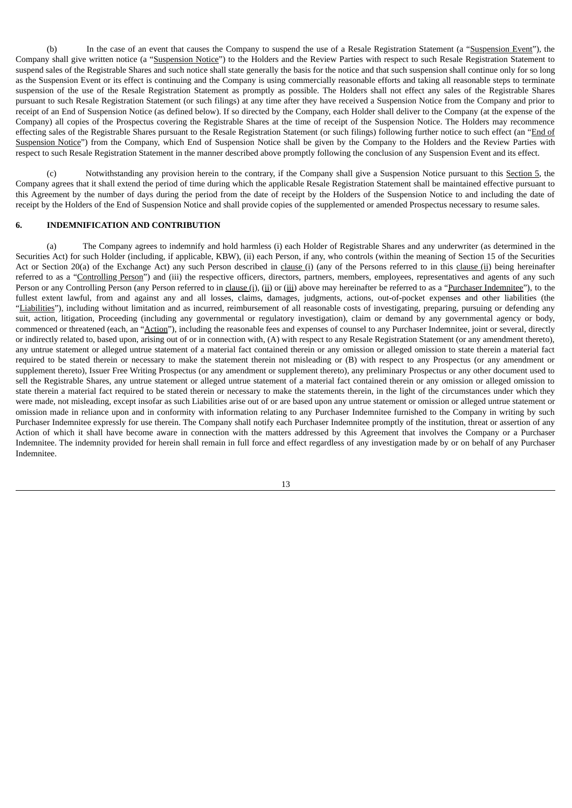(b) In the case of an event that causes the Company to suspend the use of a Resale Registration Statement (a "Suspension Event"), the Company shall give written notice (a "Suspension Notice") to the Holders and the Review Parties with respect to such Resale Registration Statement to suspend sales of the Registrable Shares and such notice shall state generally the basis for the notice and that such suspension shall continue only for so long as the Suspension Event or its effect is continuing and the Company is using commercially reasonable efforts and taking all reasonable steps to terminate suspension of the use of the Resale Registration Statement as promptly as possible. The Holders shall not effect any sales of the Registrable Shares pursuant to such Resale Registration Statement (or such filings) at any time after they have received a Suspension Notice from the Company and prior to receipt of an End of Suspension Notice (as defined below). If so directed by the Company, each Holder shall deliver to the Company (at the expense of the Company) all copies of the Prospectus covering the Registrable Shares at the time of receipt of the Suspension Notice. The Holders may recommence effecting sales of the Registrable Shares pursuant to the Resale Registration Statement (or such filings) following further notice to such effect (an "End of Suspension Notice") from the Company, which End of Suspension Notice shall be given by the Company to the Holders and the Review Parties with respect to such Resale Registration Statement in the manner described above promptly following the conclusion of any Suspension Event and its effect.

(c) Notwithstanding any provision herein to the contrary, if the Company shall give a Suspension Notice pursuant to this Section 5, the Company agrees that it shall extend the period of time during which the applicable Resale Registration Statement shall be maintained effective pursuant to this Agreement by the number of days during the period from the date of receipt by the Holders of the Suspension Notice to and including the date of receipt by the Holders of the End of Suspension Notice and shall provide copies of the supplemented or amended Prospectus necessary to resume sales.

#### **6. INDEMNIFICATION AND CONTRIBUTION**

(a) The Company agrees to indemnify and hold harmless (i) each Holder of Registrable Shares and any underwriter (as determined in the Securities Act) for such Holder (including, if applicable, KBW), (ii) each Person, if any, who controls (within the meaning of Section 15 of the Securities Act or Section 20(a) of the Exchange Act) any such Person described in clause (i) (any of the Persons referred to in this clause (ii) being hereinafter referred to as a "Controlling Person") and (iii) the respective officers, directors, partners, members, employees, representatives and agents of any such Person or any Controlling Person (any Person referred to in clause (i), (ii) or (iii) above may hereinafter be referred to as a "Purchaser Indemnitee"), to the fullest extent lawful, from and against any and all losses, claims, damages, judgments, actions, out-of-pocket expenses and other liabilities (the "Liabilities"), including without limitation and as incurred, reimbursement of all reasonable costs of investigating, preparing, pursuing or defending any suit, action, litigation, Proceeding (including any governmental or regulatory investigation), claim or demand by any governmental agency or body, commenced or threatened (each, an "Action"), including the reasonable fees and expenses of counsel to any Purchaser Indemnitee, joint or several, directly or indirectly related to, based upon, arising out of or in connection with, (A) with respect to any Resale Registration Statement (or any amendment thereto), any untrue statement or alleged untrue statement of a material fact contained therein or any omission or alleged omission to state therein a material fact required to be stated therein or necessary to make the statement therein not misleading or (B) with respect to any Prospectus (or any amendment or supplement thereto), Issuer Free Writing Prospectus (or any amendment or supplement thereto), any preliminary Prospectus or any other document used to sell the Registrable Shares, any untrue statement or alleged untrue statement of a material fact contained therein or any omission or alleged omission to state therein a material fact required to be stated therein or necessary to make the statements therein, in the light of the circumstances under which they were made, not misleading, except insofar as such Liabilities arise out of or are based upon any untrue statement or omission or alleged untrue statement or omission made in reliance upon and in conformity with information relating to any Purchaser Indemnitee furnished to the Company in writing by such Purchaser Indemnitee expressly for use therein. The Company shall notify each Purchaser Indemnitee promptly of the institution, threat or assertion of any Action of which it shall have become aware in connection with the matters addressed by this Agreement that involves the Company or a Purchaser Indemnitee. The indemnity provided for herein shall remain in full force and effect regardless of any investigation made by or on behalf of any Purchaser Indemnitee.

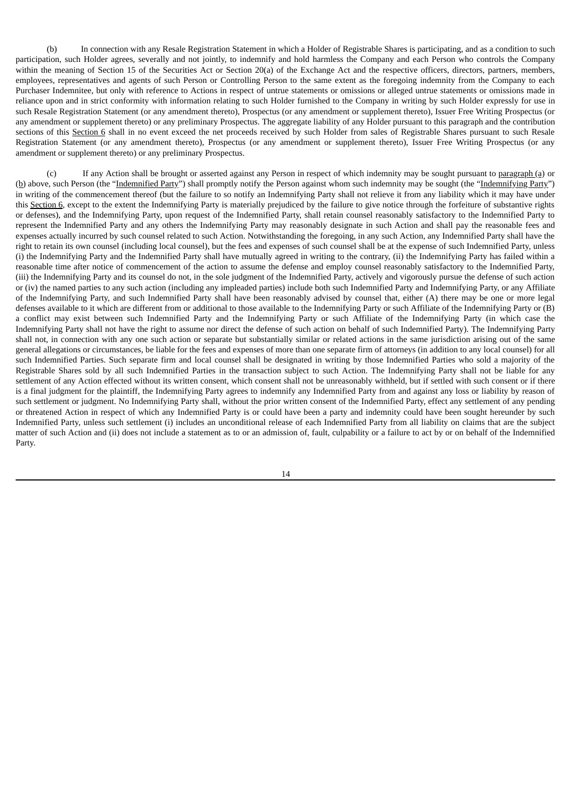(b) In connection with any Resale Registration Statement in which a Holder of Registrable Shares is participating, and as a condition to such participation, such Holder agrees, severally and not jointly, to indemnify and hold harmless the Company and each Person who controls the Company within the meaning of Section 15 of the Securities Act or Section 20(a) of the Exchange Act and the respective officers, directors, partners, members, employees, representatives and agents of such Person or Controlling Person to the same extent as the foregoing indemnity from the Company to each Purchaser Indemnitee, but only with reference to Actions in respect of untrue statements or omissions or alleged untrue statements or omissions made in reliance upon and in strict conformity with information relating to such Holder furnished to the Company in writing by such Holder expressly for use in such Resale Registration Statement (or any amendment thereto), Prospectus (or any amendment or supplement thereto), Issuer Free Writing Prospectus (or any amendment or supplement thereto) or any preliminary Prospectus. The aggregate liability of any Holder pursuant to this paragraph and the contribution sections of this Section 6 shall in no event exceed the net proceeds received by such Holder from sales of Registrable Shares pursuant to such Resale Registration Statement (or any amendment thereto), Prospectus (or any amendment or supplement thereto), Issuer Free Writing Prospectus (or any amendment or supplement thereto) or any preliminary Prospectus.

(c) If any Action shall be brought or asserted against any Person in respect of which indemnity may be sought pursuant to paragraph (a) or (b) above, such Person (the "Indemnified Party") shall promptly notify the Person against whom such indemnity may be sought (the "Indemnifying Party") in writing of the commencement thereof (but the failure to so notify an Indemnifying Party shall not relieve it from any liability which it may have under this Section 6, except to the extent the Indemnifying Party is materially prejudiced by the failure to give notice through the forfeiture of substantive rights or defenses), and the Indemnifying Party, upon request of the Indemnified Party, shall retain counsel reasonably satisfactory to the Indemnified Party to represent the Indemnified Party and any others the Indemnifying Party may reasonably designate in such Action and shall pay the reasonable fees and expenses actually incurred by such counsel related to such Action. Notwithstanding the foregoing, in any such Action, any Indemnified Party shall have the right to retain its own counsel (including local counsel), but the fees and expenses of such counsel shall be at the expense of such Indemnified Party, unless (i) the Indemnifying Party and the Indemnified Party shall have mutually agreed in writing to the contrary, (ii) the Indemnifying Party has failed within a reasonable time after notice of commencement of the action to assume the defense and employ counsel reasonably satisfactory to the Indemnified Party, (iii) the Indemnifying Party and its counsel do not, in the sole judgment of the Indemnified Party, actively and vigorously pursue the defense of such action or (iv) the named parties to any such action (including any impleaded parties) include both such Indemnified Party and Indemnifying Party, or any Affiliate of the Indemnifying Party, and such Indemnified Party shall have been reasonably advised by counsel that, either (A) there may be one or more legal defenses available to it which are different from or additional to those available to the Indemnifying Party or such Affiliate of the Indemnifying Party or (B) a conflict may exist between such Indemnified Party and the Indemnifying Party or such Affiliate of the Indemnifying Party (in which case the Indemnifying Party shall not have the right to assume nor direct the defense of such action on behalf of such Indemnified Party). The Indemnifying Party shall not, in connection with any one such action or separate but substantially similar or related actions in the same jurisdiction arising out of the same general allegations or circumstances, be liable for the fees and expenses of more than one separate firm of attorneys (in addition to any local counsel) for all such Indemnified Parties. Such separate firm and local counsel shall be designated in writing by those Indemnified Parties who sold a majority of the Registrable Shares sold by all such Indemnified Parties in the transaction subject to such Action. The Indemnifying Party shall not be liable for any settlement of any Action effected without its written consent, which consent shall not be unreasonably withheld, but if settled with such consent or if there is a final judgment for the plaintiff, the Indemnifying Party agrees to indemnify any Indemnified Party from and against any loss or liability by reason of such settlement or judgment. No Indemnifying Party shall, without the prior written consent of the Indemnified Party, effect any settlement of any pending or threatened Action in respect of which any Indemnified Party is or could have been a party and indemnity could have been sought hereunder by such Indemnified Party, unless such settlement (i) includes an unconditional release of each Indemnified Party from all liability on claims that are the subject matter of such Action and (ii) does not include a statement as to or an admission of, fault, culpability or a failure to act by or on behalf of the Indemnified Party.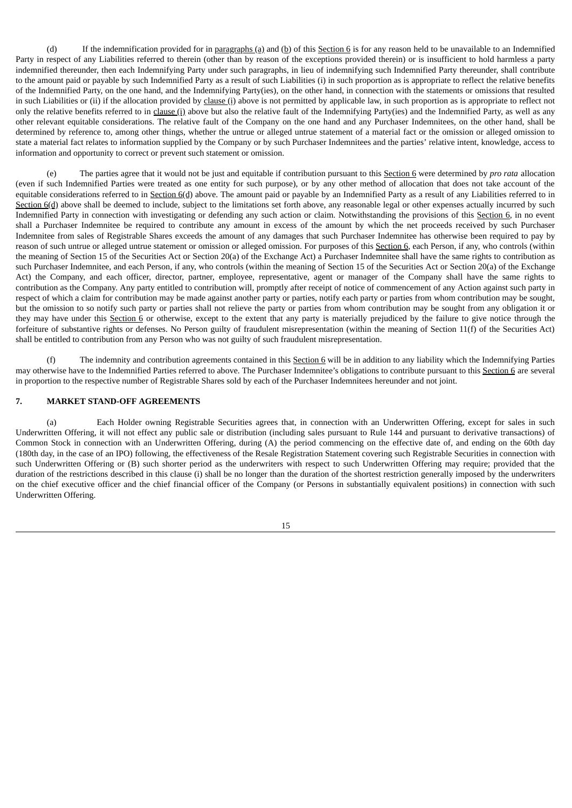(d) If the indemnification provided for in paragraphs (a) and (b) of this Section 6 is for any reason held to be unavailable to an Indemnified Party in respect of any Liabilities referred to therein (other than by reason of the exceptions provided therein) or is insufficient to hold harmless a party indemnified thereunder, then each Indemnifying Party under such paragraphs, in lieu of indemnifying such Indemnified Party thereunder, shall contribute to the amount paid or payable by such Indemnified Party as a result of such Liabilities (i) in such proportion as is appropriate to reflect the relative benefits of the Indemnified Party, on the one hand, and the Indemnifying Party(ies), on the other hand, in connection with the statements or omissions that resulted in such Liabilities or (ii) if the allocation provided by clause (i) above is not permitted by applicable law, in such proportion as is appropriate to reflect not only the relative benefits referred to in clause (i) above but also the relative fault of the Indemnifying Party(ies) and the Indemnified Party, as well as any other relevant equitable considerations. The relative fault of the Company on the one hand and any Purchaser Indemnitees, on the other hand, shall be determined by reference to, among other things, whether the untrue or alleged untrue statement of a material fact or the omission or alleged omission to state a material fact relates to information supplied by the Company or by such Purchaser Indemnitees and the parties' relative intent, knowledge, access to information and opportunity to correct or prevent such statement or omission.

(e) The parties agree that it would not be just and equitable if contribution pursuant to this Section 6 were determined by *pro rata* allocation (even if such Indemnified Parties were treated as one entity for such purpose), or by any other method of allocation that does not take account of the equitable considerations referred to in Section  $6(d)$  above. The amount paid or payable by an Indemnified Party as a result of any Liabilities referred to in Section 6(d) above shall be deemed to include, subject to the limitations set forth above, any reasonable legal or other expenses actually incurred by such Indemnified Party in connection with investigating or defending any such action or claim. Notwithstanding the provisions of this Section 6, in no event shall a Purchaser Indemnitee be required to contribute any amount in excess of the amount by which the net proceeds received by such Purchaser Indemnitee from sales of Registrable Shares exceeds the amount of any damages that such Purchaser Indemnitee has otherwise been required to pay by reason of such untrue or alleged untrue statement or omission or alleged omission. For purposes of this Section 6, each Person, if any, who controls (within the meaning of Section 15 of the Securities Act or Section 20(a) of the Exchange Act) a Purchaser Indemnitee shall have the same rights to contribution as such Purchaser Indemnitee, and each Person, if any, who controls (within the meaning of Section 15 of the Securities Act or Section 20(a) of the Exchange Act) the Company, and each officer, director, partner, employee, representative, agent or manager of the Company shall have the same rights to contribution as the Company. Any party entitled to contribution will, promptly after receipt of notice of commencement of any Action against such party in respect of which a claim for contribution may be made against another party or parties, notify each party or parties from whom contribution may be sought, but the omission to so notify such party or parties shall not relieve the party or parties from whom contribution may be sought from any obligation it or they may have under this Section 6 or otherwise, except to the extent that any party is materially prejudiced by the failure to give notice through the forfeiture of substantive rights or defenses. No Person guilty of fraudulent misrepresentation (within the meaning of Section 11(f) of the Securities Act) shall be entitled to contribution from any Person who was not guilty of such fraudulent misrepresentation.

The indemnity and contribution agreements contained in this  $Section 6$  will be in addition to any liability which the Indemnifying Parties may otherwise have to the Indemnified Parties referred to above. The Purchaser Indemnitee's obligations to contribute pursuant to this Section 6 are several in proportion to the respective number of Registrable Shares sold by each of the Purchaser Indemnitees hereunder and not joint.

#### **7. MARKET STAND-OFF AGREEMENTS**

(a) Each Holder owning Registrable Securities agrees that, in connection with an Underwritten Offering, except for sales in such Underwritten Offering, it will not effect any public sale or distribution (including sales pursuant to Rule 144 and pursuant to derivative transactions) of Common Stock in connection with an Underwritten Offering, during (A) the period commencing on the effective date of, and ending on the 60th day (180th day, in the case of an IPO) following, the effectiveness of the Resale Registration Statement covering such Registrable Securities in connection with such Underwritten Offering or (B) such shorter period as the underwriters with respect to such Underwritten Offering may require; provided that the duration of the restrictions described in this clause (i) shall be no longer than the duration of the shortest restriction generally imposed by the underwriters on the chief executive officer and the chief financial officer of the Company (or Persons in substantially equivalent positions) in connection with such Underwritten Offering.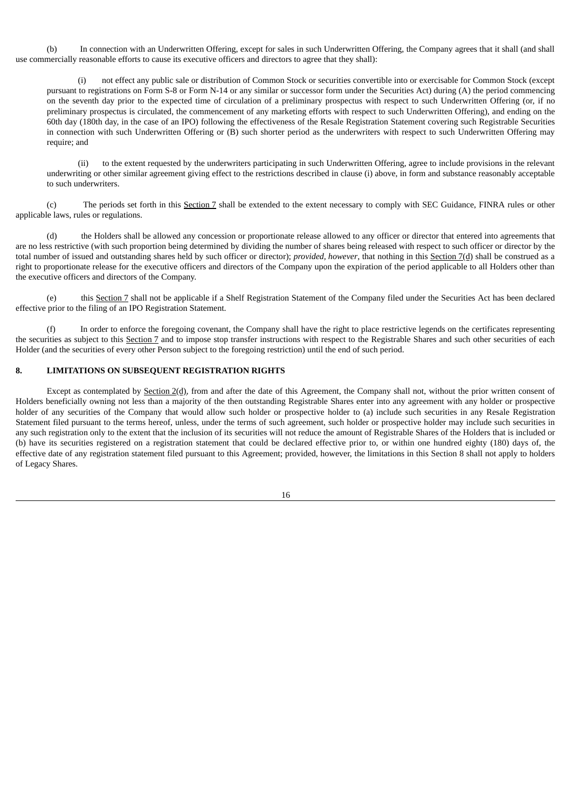(b) In connection with an Underwritten Offering, except for sales in such Underwritten Offering, the Company agrees that it shall (and shall use commercially reasonable efforts to cause its executive officers and directors to agree that they shall):

(i) not effect any public sale or distribution of Common Stock or securities convertible into or exercisable for Common Stock (except pursuant to registrations on Form S-8 or Form N-14 or any similar or successor form under the Securities Act) during (A) the period commencing on the seventh day prior to the expected time of circulation of a preliminary prospectus with respect to such Underwritten Offering (or, if no preliminary prospectus is circulated, the commencement of any marketing efforts with respect to such Underwritten Offering), and ending on the 60th day (180th day, in the case of an IPO) following the effectiveness of the Resale Registration Statement covering such Registrable Securities in connection with such Underwritten Offering or (B) such shorter period as the underwriters with respect to such Underwritten Offering may require; and

(ii) to the extent requested by the underwriters participating in such Underwritten Offering, agree to include provisions in the relevant underwriting or other similar agreement giving effect to the restrictions described in clause (i) above, in form and substance reasonably acceptable to such underwriters.

(c) The periods set forth in this Section 7 shall be extended to the extent necessary to comply with SEC Guidance, FINRA rules or other applicable laws, rules or regulations.

(d) the Holders shall be allowed any concession or proportionate release allowed to any officer or director that entered into agreements that are no less restrictive (with such proportion being determined by dividing the number of shares being released with respect to such officer or director by the total number of issued and outstanding shares held by such officer or director); *provided, however*, that nothing in this Section 7(d) shall be construed as a right to proportionate release for the executive officers and directors of the Company upon the expiration of the period applicable to all Holders other than the executive officers and directors of the Company.

(e) this Section 7 shall not be applicable if a Shelf Registration Statement of the Company filed under the Securities Act has been declared effective prior to the filing of an IPO Registration Statement.

(f) In order to enforce the foregoing covenant, the Company shall have the right to place restrictive legends on the certificates representing the securities as subject to this Section 7 and to impose stop transfer instructions with respect to the Registrable Shares and such other securities of each Holder (and the securities of every other Person subject to the foregoing restriction) until the end of such period.

#### **8. LIMITATIONS ON SUBSEQUENT REGISTRATION RIGHTS**

Except as contemplated by **Section 2(d)**, from and after the date of this Agreement, the Company shall not, without the prior written consent of Holders beneficially owning not less than a majority of the then outstanding Registrable Shares enter into any agreement with any holder or prospective holder of any securities of the Company that would allow such holder or prospective holder to (a) include such securities in any Resale Registration Statement filed pursuant to the terms hereof, unless, under the terms of such agreement, such holder or prospective holder may include such securities in any such registration only to the extent that the inclusion of its securities will not reduce the amount of Registrable Shares of the Holders that is included or (b) have its securities registered on a registration statement that could be declared effective prior to, or within one hundred eighty (180) days of, the effective date of any registration statement filed pursuant to this Agreement; provided, however, the limitations in this Section 8 shall not apply to holders of Legacy Shares.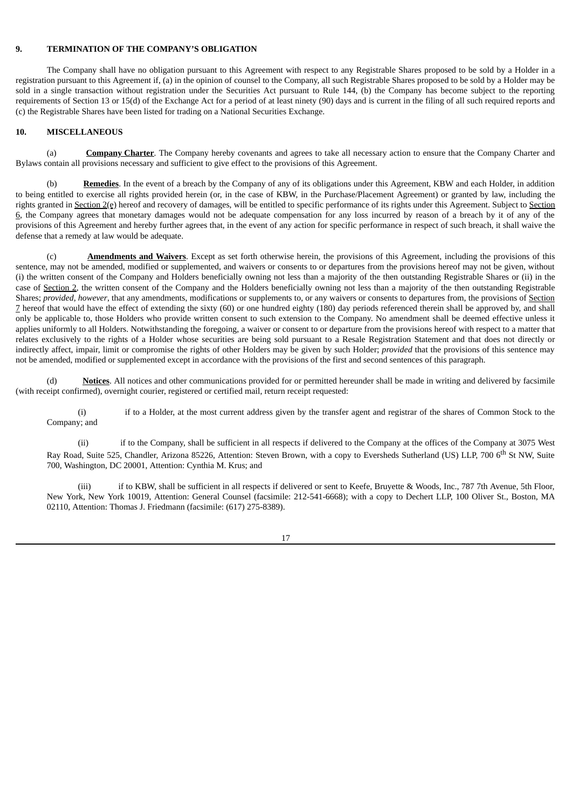#### **9. TERMINATION OF THE COMPANY'S OBLIGATION**

The Company shall have no obligation pursuant to this Agreement with respect to any Registrable Shares proposed to be sold by a Holder in a registration pursuant to this Agreement if, (a) in the opinion of counsel to the Company, all such Registrable Shares proposed to be sold by a Holder may be sold in a single transaction without registration under the Securities Act pursuant to Rule 144, (b) the Company has become subject to the reporting requirements of Section 13 or 15(d) of the Exchange Act for a period of at least ninety (90) days and is current in the filing of all such required reports and (c) the Registrable Shares have been listed for trading on a National Securities Exchange.

#### **10. MISCELLANEOUS**

(a) **Company Charter**. The Company hereby covenants and agrees to take all necessary action to ensure that the Company Charter and Bylaws contain all provisions necessary and sufficient to give effect to the provisions of this Agreement.

(b) **Remedies**. In the event of a breach by the Company of any of its obligations under this Agreement, KBW and each Holder, in addition to being entitled to exercise all rights provided herein (or, in the case of KBW, in the Purchase/Placement Agreement) or granted by law, including the rights granted in Section 2(e) hereof and recovery of damages, will be entitled to specific performance of its rights under this Agreement. Subject to Section 6, the Company agrees that monetary damages would not be adequate compensation for any loss incurred by reason of a breach by it of any of the provisions of this Agreement and hereby further agrees that, in the event of any action for specific performance in respect of such breach, it shall waive the defense that a remedy at law would be adequate.

(c) **Amendments and Waivers**. Except as set forth otherwise herein, the provisions of this Agreement, including the provisions of this sentence, may not be amended, modified or supplemented, and waivers or consents to or departures from the provisions hereof may not be given, without (i) the written consent of the Company and Holders beneficially owning not less than a majority of the then outstanding Registrable Shares or (ii) in the case of Section 2, the written consent of the Company and the Holders beneficially owning not less than a majority of the then outstanding Registrable Shares; *provided, however*, that any amendments, modifications or supplements to, or any waivers or consents to departures from, the provisions of Section 7 hereof that would have the effect of extending the sixty (60) or one hundred eighty (180) day periods referenced therein shall be approved by, and shall only be applicable to, those Holders who provide written consent to such extension to the Company. No amendment shall be deemed effective unless it applies uniformly to all Holders. Notwithstanding the foregoing, a waiver or consent to or departure from the provisions hereof with respect to a matter that relates exclusively to the rights of a Holder whose securities are being sold pursuant to a Resale Registration Statement and that does not directly or indirectly affect, impair, limit or compromise the rights of other Holders may be given by such Holder; *provided* that the provisions of this sentence may not be amended, modified or supplemented except in accordance with the provisions of the first and second sentences of this paragraph.

(d) **Notices**. All notices and other communications provided for or permitted hereunder shall be made in writing and delivered by facsimile (with receipt confirmed), overnight courier, registered or certified mail, return receipt requested:

(i) if to a Holder, at the most current address given by the transfer agent and registrar of the shares of Common Stock to the Company; and

(ii) if to the Company, shall be sufficient in all respects if delivered to the Company at the offices of the Company at 3075 West Ray Road, Suite 525, Chandler, Arizona 85226, Attention: Steven Brown, with a copy to Eversheds Sutherland (US) LLP, 700 6<sup>th</sup> St NW, Suite 700, Washington, DC 20001, Attention: Cynthia M. Krus; and

(iii) if to KBW, shall be sufficient in all respects if delivered or sent to Keefe, Bruyette & Woods, Inc., 787 7th Avenue, 5th Floor, New York, New York 10019, Attention: General Counsel (facsimile: 212-541-6668); with a copy to Dechert LLP, 100 Oliver St., Boston, MA 02110, Attention: Thomas J. Friedmann (facsimile: (617) 275-8389).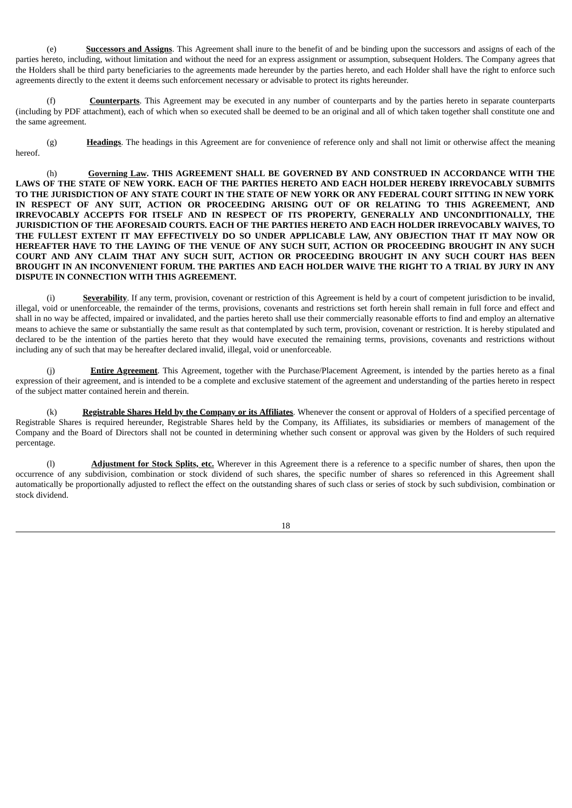(e) **Successors and Assigns**. This Agreement shall inure to the benefit of and be binding upon the successors and assigns of each of the parties hereto, including, without limitation and without the need for an express assignment or assumption, subsequent Holders. The Company agrees that the Holders shall be third party beneficiaries to the agreements made hereunder by the parties hereto, and each Holder shall have the right to enforce such agreements directly to the extent it deems such enforcement necessary or advisable to protect its rights hereunder.

(f) **Counterparts**. This Agreement may be executed in any number of counterparts and by the parties hereto in separate counterparts (including by PDF attachment), each of which when so executed shall be deemed to be an original and all of which taken together shall constitute one and the same agreement.

(g) **Headings**. The headings in this Agreement are for convenience of reference only and shall not limit or otherwise affect the meaning hereof.

(h) **Governing Law. THIS AGREEMENT SHALL BE GOVERNED BY AND CONSTRUED IN ACCORDANCE WITH THE** LAWS OF THE STATE OF NEW YORK. EACH OF THE PARTIES HERETO AND EACH HOLDER HEREBY IRREVOCABLY SUBMITS TO THE JURISDICTION OF ANY STATE COURT IN THE STATE OF NEW YORK OR ANY FEDERAL COURT SITTING IN NEW YORK **IN RESPECT OF ANY SUIT, ACTION OR PROCEEDING ARISING OUT OF OR RELATING TO THIS AGREEMENT, AND IRREVOCABLY ACCEPTS FOR ITSELF AND IN RESPECT OF ITS PROPERTY, GENERALLY AND UNCONDITIONALLY, THE JURISDICTION OF THE AFORESAID COURTS. EACH OF THE PARTIES HERETO AND EACH HOLDER IRREVOCABLY WAIVES, TO THE FULLEST EXTENT IT MAY EFFECTIVELY DO SO UNDER APPLICABLE LAW, ANY OBJECTION THAT IT MAY NOW OR** HEREAFTER HAVE TO THE LAYING OF THE VENUE OF ANY SUCH SUIT, ACTION OR PROCEEDING BROUGHT IN ANY SUCH **COURT AND ANY CLAIM THAT ANY SUCH SUIT, ACTION OR PROCEEDING BROUGHT IN ANY SUCH COURT HAS BEEN** BROUGHT IN AN INCONVENIENT FORUM. THE PARTIES AND EACH HOLDER WAIVE THE RIGHT TO A TRIAL BY JURY IN ANY **DISPUTE IN CONNECTION WITH THIS AGREEMENT.**

(i) **Severability**. If any term, provision, covenant or restriction of this Agreement is held by a court of competent jurisdiction to be invalid, illegal, void or unenforceable, the remainder of the terms, provisions, covenants and restrictions set forth herein shall remain in full force and effect and shall in no way be affected, impaired or invalidated, and the parties hereto shall use their commercially reasonable efforts to find and employ an alternative means to achieve the same or substantially the same result as that contemplated by such term, provision, covenant or restriction. It is hereby stipulated and declared to be the intention of the parties hereto that they would have executed the remaining terms, provisions, covenants and restrictions without including any of such that may be hereafter declared invalid, illegal, void or unenforceable.

**Entire Agreement**. This Agreement, together with the Purchase/Placement Agreement, is intended by the parties hereto as a final expression of their agreement, and is intended to be a complete and exclusive statement of the agreement and understanding of the parties hereto in respect of the subject matter contained herein and therein.

(k) **Registrable Shares Held by the Company or its Affiliates**. Whenever the consent or approval of Holders of a specified percentage of Registrable Shares is required hereunder, Registrable Shares held by the Company, its Affiliates, its subsidiaries or members of management of the Company and the Board of Directors shall not be counted in determining whether such consent or approval was given by the Holders of such required percentage.

(l) **Adjustment for Stock Splits, etc.** Wherever in this Agreement there is a reference to a specific number of shares, then upon the occurrence of any subdivision, combination or stock dividend of such shares, the specific number of shares so referenced in this Agreement shall automatically be proportionally adjusted to reflect the effect on the outstanding shares of such class or series of stock by such subdivision, combination or stock dividend.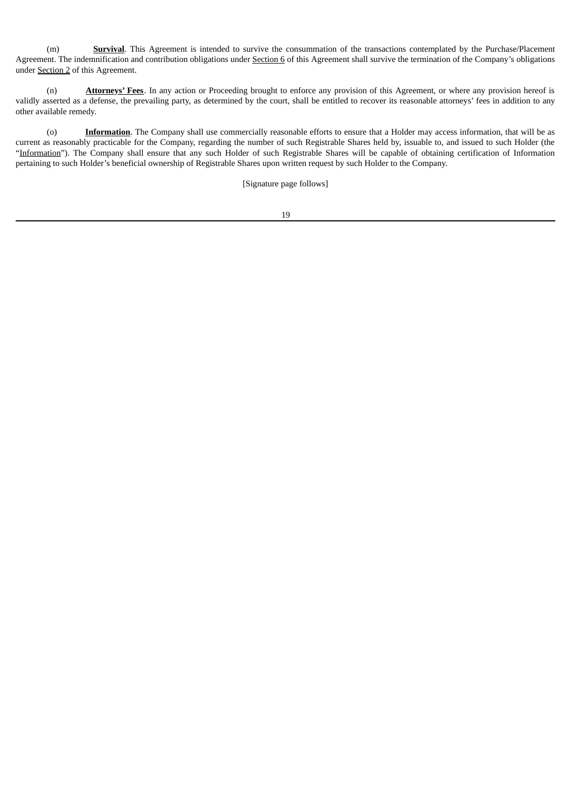(m) **Survival**. This Agreement is intended to survive the consummation of the transactions contemplated by the Purchase/Placement Agreement. The indemnification and contribution obligations under Section 6 of this Agreement shall survive the termination of the Company's obligations under Section 2 of this Agreement.

(n) **Attorneys' Fees**. In any action or Proceeding brought to enforce any provision of this Agreement, or where any provision hereof is validly asserted as a defense, the prevailing party, as determined by the court, shall be entitled to recover its reasonable attorneys' fees in addition to any other available remedy.

(o) **Information**. The Company shall use commercially reasonable efforts to ensure that a Holder may access information, that will be as current as reasonably practicable for the Company, regarding the number of such Registrable Shares held by, issuable to, and issued to such Holder (the "Information"). The Company shall ensure that any such Holder of such Registrable Shares will be capable of obtaining certification of Information pertaining to such Holder's beneficial ownership of Registrable Shares upon written request by such Holder to the Company.

[Signature page follows]